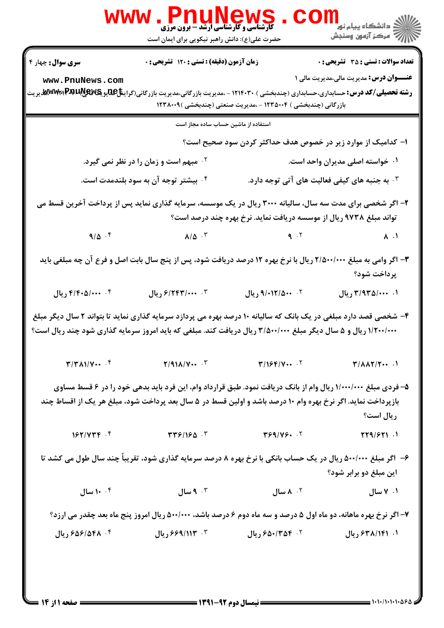|                                                                                                                                                               | WWW . PnuNews                                                                                                                                                                                                                                                                                                                                                                                                         |                                                                      |                                                               |
|---------------------------------------------------------------------------------------------------------------------------------------------------------------|-----------------------------------------------------------------------------------------------------------------------------------------------------------------------------------------------------------------------------------------------------------------------------------------------------------------------------------------------------------------------------------------------------------------------|----------------------------------------------------------------------|---------------------------------------------------------------|
|                                                                                                                                                               | حضرت علی(ع): دانش راهبر نیکویی برای ایمان است                                                                                                                                                                                                                                                                                                                                                                         |                                                                      |                                                               |
| <b>سری سوال :</b> چهار ۴                                                                                                                                      | زمان آزمون (دقیقه) : تستی : 120 تشریحی : 0                                                                                                                                                                                                                                                                                                                                                                            |                                                                      | <b>تعداد سوالات : تستی : 35 تشریحی : 0</b>                    |
| www.PnuNews.com<br><b>رشته تحصیلی/کد درس:</b> حسابداری،حسابداری (چندبخشی ) ۱۲۱۴۰۳۰ - ،مدیریت بازرگانی،مدیریت بازرگانی(گرای <b>شآ£یانیاچی آیا، W.W.W.</b> یریت |                                                                                                                                                                                                                                                                                                                                                                                                                       | بازرگانی (چندبخشی ) ۱۲۳۵۰۰۴ - ،مدیریت صنعتی (چندبخشی )۱۲۳۸۰۰۹        | <b>عنـــوان درس:</b> مدیریت مالی،مدیریت مالی ۱                |
|                                                                                                                                                               | استفاده از ماشین حساب ساده مجاز است                                                                                                                                                                                                                                                                                                                                                                                   |                                                                      |                                                               |
|                                                                                                                                                               |                                                                                                                                                                                                                                                                                                                                                                                                                       | ا– کدامیک از موارد زیر در خصوص هدف حداکثر کردن سود صحیح است؟         |                                                               |
|                                                                                                                                                               | ۰۲ مبهم است و زمان را در نظر نمی گیرد.                                                                                                                                                                                                                                                                                                                                                                                |                                                                      | ۰۱ خواسته اصلی مدیران واحد است.                               |
|                                                                                                                                                               | ۰۴ بیشتر توجه آن به سود بلندمدت است.                                                                                                                                                                                                                                                                                                                                                                                  |                                                                      | ۰۳ به جنبه های کیفی فعالیت های آتی توجه دارد. $\cdot$         |
|                                                                                                                                                               | ۲- اگر شخصی برای مدت سه سال، سالیانه ۳۰۰۰ ریال در یک موسسه، سرمایه گذاری نماید پس از پرداخت آخرین قسط می                                                                                                                                                                                                                                                                                                              | تواند مبلغ ۹۷۳۸ ریال از موسسه دریافت نماید. نرخ بهره چند درصد است؟   |                                                               |
| $9/\Delta$ .                                                                                                                                                  | $\lambda/\Delta$ $\qquad \qquad$ $\qquad \qquad$ $\qquad \qquad$ $\qquad \qquad$ $\qquad \qquad$ $\qquad \qquad$ $\qquad \qquad$ $\qquad \qquad$ $\qquad \qquad$ $\qquad \qquad$ $\qquad \qquad$ $\qquad \qquad$ $\qquad \qquad$ $\qquad \qquad$ $\qquad \qquad$ $\qquad \qquad$ $\qquad \qquad$ $\qquad \qquad$ $\qquad \qquad$ $\qquad \qquad$ $\qquad \qquad \qquad$ $\qquad \qquad \qquad$ $\qquad \qquad \qquad$ |                                                                      | $V \cdot$                                                     |
|                                                                                                                                                               | ۳- اگر وامی به مبلغ ۲/۵۰۰/۰۰۰ ریال با نرخ بهره ۱۲ درصد دریافت شود، پس از پنج سال بابت اصل و فرع آن چه مبلغی باید                                                                                                                                                                                                                                                                                                      |                                                                      | پرداخت شود؟                                                   |
| ۴. ۴/۴۰۵/۰۰۰ ريال                                                                                                                                             | ۴. ۶/۲۴۳/۰۰۰ ریال                                                                                                                                                                                                                                                                                                                                                                                                     | ٠٢ ٠٠١٢/٥٠٠ ريال                                                     | ۰۱. ۳/۹۳۵/۰۰۰ ریال                                            |
| ۱/۲۰۰/۰۰۰ ریال و ۵ سال دیگر مبلغ ۳/۵۰۰/۰۰۰ ریال دریافت کند. مبلغی که باید امروز سرمایه گذاری شود چند ریال است؟                                                | ۴- شخصی قصد دارد مبلغی در یک بانک که سالیانه ۱۰ درصد بهره می پردازد سرمایه گذاری نماید تا بتواند ۲ سال دیگر مبلغ                                                                                                                                                                                                                                                                                                      |                                                                      |                                                               |
| $T/T$ $\Lambda$ $V \cdots$ $F$                                                                                                                                | $Y/91\lambda/V \cdots$ .                                                                                                                                                                                                                                                                                                                                                                                              | $\mathbf{Y}/\mathbf{1}$ $\mathcal{F}/\mathbf{V} \cdots$ $\mathbf{Y}$ | $\mathbf{T}/\mathbf{A}\mathbf{A}\mathbf{T}/\mathbf{T} \cdots$ |
|                                                                                                                                                               | ۵– فردی مبلغ ۱/۰۰۰/۰۰۰ ریال وام از بانک دریافت نمود. طبق قرارداد وام، این فرد باید بدهی خود را در ۶ قسط مساوی<br>بازپرداخت نماید. اگر نرخ بهره وام ۱۰ درصد باشد و اولین قسط در ۵ سال بعد پرداخت شود، مبلغ هر یک از اقساط چند                                                                                                                                                                                          |                                                                      | ريال است؟                                                     |
| $157/779$ .                                                                                                                                                   | $\mathbf{r} \mathbf{r}$ $\mathbf{r}$ /160. $\mathbf{r}$                                                                                                                                                                                                                                                                                                                                                               | Y59/Y5.                                                              | TT9/571.1                                                     |
|                                                                                                                                                               | ۶- اگر مبلغ ۵۰۰/۰۰۰ ریال در یک حساب بانکی با نرخ بهره ۸ درصد سرمایه گذاری شود، تقریباً چند سال طول می کشد تا                                                                                                                                                                                                                                                                                                          |                                                                      | این مبلغ دو برابر شود؟                                        |
| ۰۰۴ سال                                                                                                                                                       | ۰۳ هسال                                                                                                                                                                                                                                                                                                                                                                                                               | ۰ <sup>۲</sup> ۸ سال                                                 | ۰۱ ۷ سال                                                      |
|                                                                                                                                                               | ۷- اگر نرخ بهره ماهانه، دو ماه اول ۵ درصد و سه ماه دوم ۶ درصد باشد، ۵۰۰/۰۰۰ ریال امروز پنج ماه بعد چقدر می ارزد؟                                                                                                                                                                                                                                                                                                      |                                                                      |                                                               |
| ۴. ۶۵۶/۵۴۸ ریال                                                                                                                                               | ۰۳ - ۶۶۹/۱۱۳ ریال                                                                                                                                                                                                                                                                                                                                                                                                     | ۶- ۶۵۰/۳۵۴ ریال                                                      | ۰۱. ۶۳۸/۱۴۱ ریال                                              |
|                                                                                                                                                               |                                                                                                                                                                                                                                                                                                                                                                                                                       |                                                                      |                                                               |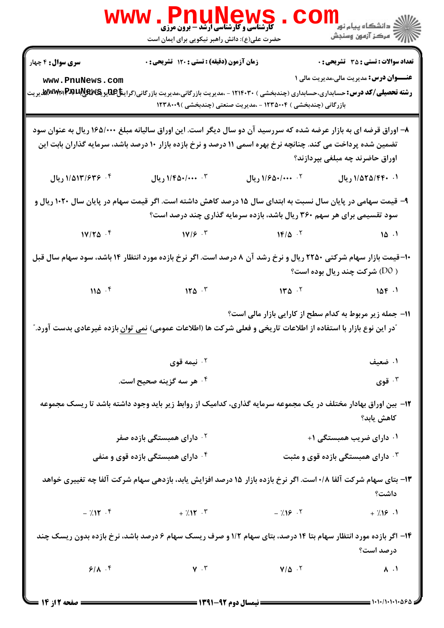|                                             | WWW.PnuMews<br>حضرت علی(ع): دانش راهبر نیکویی برای ایمان است                                                                                                                                                                      |                                                                        | دانشگاه پیام نور<br>اگر دانشگاه پیام نور<br>اگر                                                |
|---------------------------------------------|-----------------------------------------------------------------------------------------------------------------------------------------------------------------------------------------------------------------------------------|------------------------------------------------------------------------|------------------------------------------------------------------------------------------------|
| <b>سری سوال :</b> ۴ چهار<br>www.PnuNews.com | زمان آزمون (دقیقه) : تستی : ۱۲۰ تشریحی : ۰<br><b>رشته تحصیلی/کد درس:</b> حسابداری،حسابداری (چندبخشی ) ۱۲۱۴۰۳۰ - ،مدیریت بازرگانی،مدیریت بازرگانی(گراین <del>ژا&amp;</del> لیویگیهلا <b>PAUیریگی مین مین مین</b> و                 | بازرگانی (چندبخشی ) ۱۲۳۵۰۰۴ - ،مدیریت صنعتی (چندبخشی )۱۲۳۸۰۰۹          | <b>تعداد سوالات : تستی : 35 - تشریحی : 0</b><br><b>عنـــوان درس:</b> مدیریت مالی،مدیریت مالی ۱ |
|                                             | ۸– اوراق قرضه ای به بازار عرضه شده که سررسید آن دو سال دیگر است. این اوراق سالیانه مبلغ ۱۶۵/۰۰۰ ریال به عنوان سود<br>تضمین شده پرداخت می کند. چنانچه نرخ بهره اسمی ۱۱ درصد و نرخ بازده بازار ۱۰ درصد باشد، سرمایه گذاران بابت این |                                                                        | اوراق حاضرند چه مبلغی بپردازند؟                                                                |
| ۰۴ ۱/۵۱۳/۶۳۶ ریال                           | ۰۳ م۱/۴۵۰/۰۰۰ ریال                                                                                                                                                                                                                | ١/٠٠٠/٠٠٠ ريال                                                         | ۰۱. ۱/۵۲۵/۴۴۰ ریال                                                                             |
|                                             | ۹- قیمت سهامی در پایان سال نسبت به ابتدای سال ۱۵ درصد کاهش داشته است. اگر قیمت سهام در پایان سال ۱۰۲۰ ریال و                                                                                                                      | سود تقسیمی برای هر سهم ۳۶۰ ریال باشد، بازده سرمایه گذاری چند درصد است؟ |                                                                                                |
| $1V/T\Delta$ .                              | $14/5$ $18/12$ $16/12$                                                                                                                                                                                                            |                                                                        |                                                                                                |
|                                             | ۱۰- قیمت بازار سهام شرکتی ۲۲۵۰ ریال و نرخ رشد آن ۸ درصد است. اگر نرخ بازده مورد انتظار ۱۴ باشد، سود سهام سال قبل                                                                                                                  |                                                                        | ( D0) شرکت چند ریال بوده است؟                                                                  |
|                                             | $110^{-9}$ $170^{-7}$ $170^{-7}$ $170^{-7}$ $100^{-7}$ $100^{-1}$                                                                                                                                                                 |                                                                        |                                                                                                |
|                                             | <sup>"</sup> در این نوع بازار با استفاده از اطلاعات تاریخی و فعلی شرکت ها (اطلاعات عمومی) <u>نمی توان</u> بازده غیرعادی بدست آورد."                                                                                               | 11- جمله زیر مربوط به کدام سطح از کارایی بازار مالی است؟               |                                                                                                |
|                                             | نيمه قوى $\cdot$ ۲                                                                                                                                                                                                                |                                                                        | ۰۱ ضعیف                                                                                        |
|                                             | ۰۴ هر سه گزینه صحیح است.                                                                                                                                                                                                          |                                                                        | ۰۳ قوی $\cdot$                                                                                 |
|                                             | ۱۲– بین اوراق بهادار مختلف در یک مجموعه سرمایه گذاری، کدامیک از روابط زیر باید وجود داشته باشد تا ریسک مجموعه                                                                                                                     |                                                                        | كاهش يابد؟                                                                                     |
|                                             | <sup>۰۲</sup> دارای همبستگی بازده صفر                                                                                                                                                                                             |                                                                        | ۰۱ دارای ضریب همبستگی ۱+                                                                       |
|                                             | ۰۴ دارای همبستگی بازده قوی و منفی                                                                                                                                                                                                 |                                                                        | ۰ <sup>۳</sup> دارای همبستگی بازده قوی و مثبت                                                  |
|                                             | ۱۳- بتای سهام شرکت آلفا ۰/۸ است. اگر نرخ بازده بازار ۱۵ درصد افزایش یابد، بازدهی سهام شرکت آلفا چه تغییری خواهد                                                                                                                   |                                                                        | داشت؟                                                                                          |
| $-7.15$ . F                                 | $+ 7.17$ $.7$ $- 7.19$ $.7$                                                                                                                                                                                                       |                                                                        | $+7.19.1$                                                                                      |
|                                             | ۱۴– اگر بازده مورد انتظار سهام بتا ۱۴ درصد، بتای سهام ۱/۲ و صرف ریسک سهام ۶ درصد باشد، نرخ بازده بدون ریسک چند                                                                                                                    |                                                                        | درصد است؟                                                                                      |
| 9/1.7                                       | $\mathsf{v} \cdot \mathsf{r}$                                                                                                                                                                                                     | $V/\Delta$ .                                                           | $\Lambda$ .                                                                                    |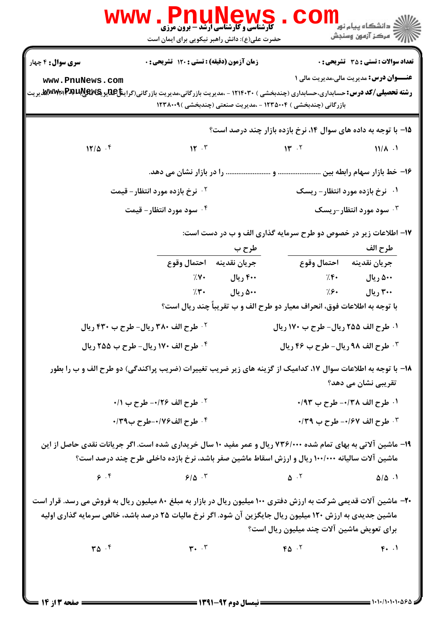|                                                                                                                                                                                                                              | <b>WWW.PNUNEWS</b><br><b>کارشناسی و کارشناسی ارشد - برون مرزی</b><br>حضرت علی(ع): دانش راهبر نیکویی برای ایمان است |              |                                                                                                            | <mark>ڪ</mark> دانشگاه پيام نو <mark>ر</mark><br>سنجش آزمون وسنجش |
|------------------------------------------------------------------------------------------------------------------------------------------------------------------------------------------------------------------------------|--------------------------------------------------------------------------------------------------------------------|--------------|------------------------------------------------------------------------------------------------------------|-------------------------------------------------------------------|
| <b>سری سوال :</b> ۴ چهار                                                                                                                                                                                                     | زمان آزمون (دقیقه) : تستی : 120 تشریحی : 0                                                                         |              |                                                                                                            | <b>تعداد سوالات : تستی : 35 ٪ تشریحی : 0</b>                      |
| www.PnuNews.com<br><b>رشته تحصیلی/کد درس:</b> حسابداری،حسابداری (چندبخشی ) ۱۲۱۴۰۳۰ - ،مدیریت بازرگانی،مدیریت بازرگانی(گرای <b>نتاپII)پایا WWW:PAPLA</b>                                                                      |                                                                                                                    |              | بازرگانی (چندبخشی ) ۱۲۳۵۰۰۴ - ،مدیریت صنعتی (چندبخشی )۱۲۳۸۰۰۹                                              | <b>عنـــوان درس:</b> مدیریت مالی،مدیریت مالی ۱                    |
|                                                                                                                                                                                                                              |                                                                                                                    |              | ۱۵– با توجه به داده های سوال ۱۴، نرخ بازده بازار چند درصد است؟                                             |                                                                   |
| $17/\Delta$ .                                                                                                                                                                                                                | $\mathbf{M} \cdot \mathbf{r}$                                                                                      |              | 14.7                                                                                                       | $11/\lambda$ .                                                    |
|                                                                                                                                                                                                                              |                                                                                                                    |              |                                                                                                            |                                                                   |
|                                                                                                                                                                                                                              | ۰ <sup>۲</sup> نرخ بازده مورد انتظار – قیمت                                                                        |              |                                                                                                            | ۰۱ نرخ بازده مورد انتظار- ریسک                                    |
|                                                                                                                                                                                                                              | ۰۴ سود مورد انتظار- قیمت                                                                                           |              |                                                                                                            | سود مورد انتظار-ریسک $\cdot$ ۳                                    |
|                                                                                                                                                                                                                              |                                                                                                                    | طرح ب        | ۱۷- اطلاعات زیر در خصوص دو طرح سرمایه گذاری الف و ب در دست است:                                            | طرح الف                                                           |
|                                                                                                                                                                                                                              | جريان نقدينه \$احتمال وقوع                                                                                         |              | احتمال وقوع                                                                                                | جريان نقدينه                                                      |
|                                                                                                                                                                                                                              | 7.1                                                                                                                | ۴۰۰ ریال     | 7.8                                                                                                        | ۵۰۰ ريال                                                          |
|                                                                                                                                                                                                                              |                                                                                                                    | ۵۰۰ ریال ۳۰٪ | $\frac{1}{2}$ . $\frac{1}{2}$<br>با توجه به اطلاعات فوق، انحراف معيار دو طرح الف و ب تقريباً چند ريال است؟ | ۳۰۰ ریال                                                          |
|                                                                                                                                                                                                                              | ۰۲ طرح الف ۳۸۰ ریال- طرح ب ۴۳۰ ریال                                                                                |              | ۰۱ طرح الف ۲۵۵ ریال- طرح ب ۱۷۰ ریال                                                                        |                                                                   |
|                                                                                                                                                                                                                              | ۰۴ طرح الف ۱۷۰ ریال- طرح ب ۲۵۵ ریال                                                                                |              | <b>4. طرح الف ۹۸ ریال- طرح ب ۴۶ ریال</b>                                                                   |                                                                   |
| ۱۸- با توجه به اطلاعات سوال ۱۷، کدامیک از گزینه های زیر ضریب تغییرات (ضریب پراکندگی) دو طرح الف و ب را بطور                                                                                                                  |                                                                                                                    |              |                                                                                                            | ِ تقریبی نشان می دهد؟                                             |
|                                                                                                                                                                                                                              | ۰/۱ طرح الف ۰/۲۶- طرح ب ۰/۱                                                                                        |              |                                                                                                            | ۰۱ طرح الف ۰/۳۸- طرح ب ۰/۹۳                                       |
|                                                                                                                                                                                                                              | ۰۴ طرح الف۷۶/۰-طرح ب۳۹/۰                                                                                           |              |                                                                                                            | ٠/٣٩ طرح الف ١/٤٧- طرح ب ٣٩/٠                                     |
| ۱۹- ماشین آلاتی به بهای تمام شده ۷۳۶/۰۰۰ ریال و عمر مفید ۱۰ سال خریداری شده است. اگر جریانات نقدی حاصل از این                                                                                                                | ماشین آلات سالیانه ۱۰۰/۰۰۰ ریال و ارزش اسقاط ماشین صفر باشد، نرخ بازده داخلی طرح چند درصد است؟                     |              |                                                                                                            |                                                                   |
| 9.5                                                                                                                                                                                                                          | 9/8.7                                                                                                              |              | $\Delta$ $\cdot$ $\cdot$                                                                                   | $\Delta/\Delta$ .                                                 |
| +۲- ماشین آلات قدیمی شرکت به ارزش دفتری ۱۰۰ میلیون ریال در بازار به مبلغ ۸۰ میلیون ریال به فروش می رسد. قرار است<br>ماشین جدیدی به ارزش ۱۲۰ میلیون ریال جایگزین آن شود. اگر نرخ مالیات ۲۵ درصد باشد، خالص سرمایه گذاری اولیه |                                                                                                                    |              | برای تعویض ماشین آلات چند میلیون ریال است؟                                                                 |                                                                   |
| $\mathbf{r}\mathbf{a}$ . $\mathbf{r}$                                                                                                                                                                                        | $\mathbf{r}$ . $\mathbf{r}$                                                                                        |              | $FA \cdot Y$                                                                                               | F.                                                                |
| ـــــــــــــــــ صفحه 13 : 14                                                                                                                                                                                               |                                                                                                                    |              |                                                                                                            |                                                                   |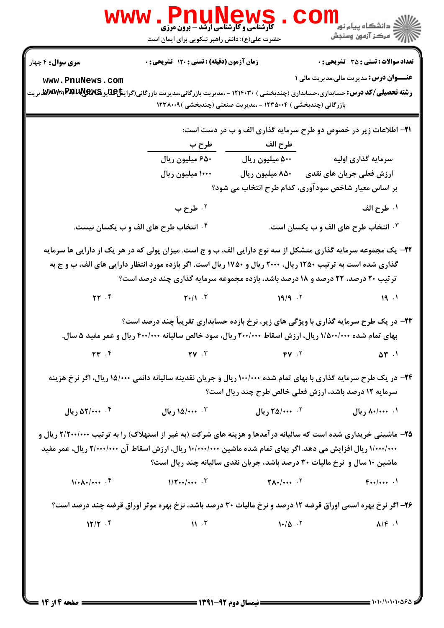| <b>سری سوال :</b> ۴ چهار                                                                                                  | زمان آزمون (دقیقه) : تستی : ۱۲۰ تشریحی : 0                                                                                                                                                                                               |                                                                             | <b>تعداد سوالات : تستي : 35 ٪ تشريحي : 0</b>    |
|---------------------------------------------------------------------------------------------------------------------------|------------------------------------------------------------------------------------------------------------------------------------------------------------------------------------------------------------------------------------------|-----------------------------------------------------------------------------|-------------------------------------------------|
| www.PnuNews.com                                                                                                           | <b>رشته تحصیلی/کد درس:</b> حسابداری،حسابداری (چندبخشی ) ۱۲۱۴۰۳۰ - ،مدیریت بازرگانی،مدیریت بازرگانی(گیهRAU&R وMT بهMW                                                                                                                     | بازرگانی (چندبخشی ) ۱۲۳۵۰۰۴ - ،مدیریت صنعتی (چندبخشی )۱۲۳۸۰۰۹               | <b>عنــــوان درس:</b> مدیریت مالی،مدیریت مالی ۱ |
|                                                                                                                           |                                                                                                                                                                                                                                          | ۲۱- اطلاعات زیر در خصوص دو طرح سرمایه گذاری الف و ب در دست است:             |                                                 |
|                                                                                                                           | طرح ب                                                                                                                                                                                                                                    | طرح الف                                                                     |                                                 |
|                                                                                                                           | ۶۵۰ میلیون ریال                                                                                                                                                                                                                          | ۵۰۰ میلیون ریال                                                             | سرمایه گذاری اولیه                              |
|                                                                                                                           | ۱۰۰۰ میلیون ریال                                                                                                                                                                                                                         | ۸۵۰ میلیون ریال                                                             | ارزش فعلی جریان های نقدی                        |
|                                                                                                                           |                                                                                                                                                                                                                                          | بر اساس معیار شاخص سودآوری، کدام طرح انتخاب می شود؟                         |                                                 |
|                                                                                                                           | ۰۲ طرح ب                                                                                                                                                                                                                                 |                                                                             | ١. طرح الف                                      |
|                                                                                                                           | ۰۴ انتخاب طرح های الف و ب یکسان نیست.                                                                                                                                                                                                    |                                                                             | ۰۳ انتخاب طرح های الف و ب یکسان است.            |
| گذاری شده است به ترتیب ۱۲۵۰ ریال، ۲۰۰۰ ریال و ۱۷۵۰ ریال است. اگر بازده مورد انتظار دارایی های الف، ب و ج به<br>$\Upsilon$ | ترتیب ۲۰ درصد، ۲۲ درصد و ۱۸ درصد باشد، بازده مجموعه سرمایه گذاری چند درصد است؟<br>$\mathbf{Y} \cdot / \mathbf{Y}$ .                                                                                                                      | 19/9.7                                                                      | 19.1                                            |
|                                                                                                                           | ۲۳- در یک طرح سرمایه گذاری با ویژگی های زیر، نرخ بازده حسابداری تقریباً چند درصد است؟                                                                                                                                                    |                                                                             |                                                 |
| $\mathbf{y}^{\mu}$ .                                                                                                      | بهای تمام شده ۱/۵۰۰/۰۰۰ ریال، ارزش اسقاط ۲۰۰/۰۰۰ ریال، سود خالص سالیانه ۴۰۰/۰۰۰ ریال و عمر مفید ۵ سال.<br>$\mathbf{Y} \mathbf{Y}$ $\mathbf{Y}$                                                                                           | $FV \cdot V$                                                                | $\Delta \Upsilon$ .                             |
|                                                                                                                           | <b>۳۴</b> - در یک طرح سرمایه گذاری با بهای تمام شده ۱۰۰/۰۰۰ ریال و جریان نقدینه سالیانه دائمی ۱۵/۰۰۰ ریال، اگر نرخ هزینه                                                                                                                 | سرمایه ۱۲ درصد باشد، ارزش فعلی خالص طرح چند ریال است؟                       |                                                 |
| ۰۴ مریال                                                                                                                  | ۰۰ ۱۵/۰۰۰ ریال                                                                                                                                                                                                                           | ۲. ۲۵/۰۰۰ ریال                                                              | ۰۱ ۸۰/۰۰۰ ريال                                  |
|                                                                                                                           | <b>۲۵</b> - ماشینی خریداری شده است که سالیانه درآمدها و هزینه های شرکت (به غیر از استهلاک) را به ترتیب ۲/۲۰۰/۰۰۰ ریال و<br>۱/۰۰۰/۰۰۰ ریال افزایش می دهد. اگر بهای تمام شده ماشین ۱۰/۰۰۰/۰۰۰ ریال، ارزش اسقاط آن ۲/۰۰۰/۰۰۰ ریال، عمر مفید | ماشین ۱۰ سال و ً نرخ مالیات ۳۰ درصد باشد، جریان نقدی سالیانه چند ریال است؟  |                                                 |
| $1/\cdot \Lambda \cdot / \cdot \cdot \cdot$ . $f$                                                                         | $1/\mathbf{Y} \cdot \cdot \cdot$ . $\mathbf{Y}$                                                                                                                                                                                          | $\mathbf{Y}$ $\mathbf{A}$ $\cdot$ $\mathbf{I}$ $\cdot$ $\cdot$ $\mathbf{V}$ | $F_{**}/$ .                                     |
|                                                                                                                           | ۲۶- اگر نرخ بهره اسمی اوراق قرضه ۱۲ درصد و نرخ مالیات ۳۰ درصد باشد، نرخ بهره موثر اوراق قرضه چند درصد است؟                                                                                                                               |                                                                             |                                                 |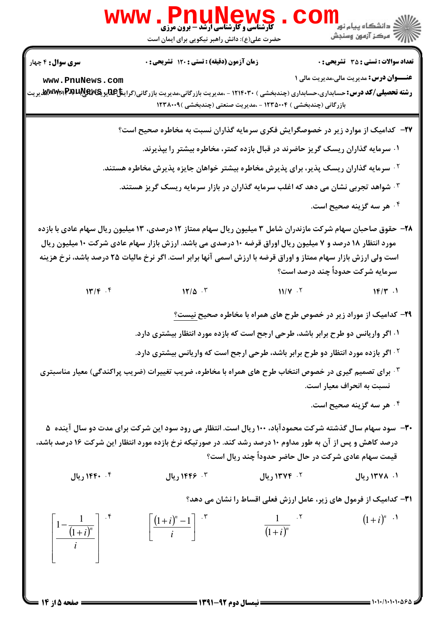

**www.PnuNews** 

صفحه ۱۵ از ۱۴ =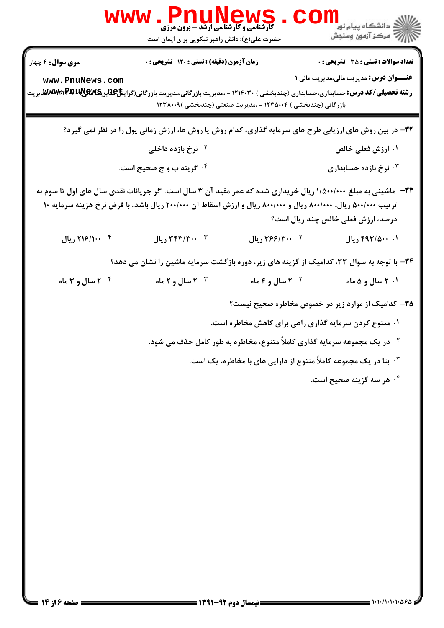|                                             | <b>FIIUNGI</b><br><b>کارشناسی و کارشناسی ارشد - برون مرزی</b><br>حضرت علی(ع): دانش راهبر نیکویی برای ایمان است                                                                                                                    |                                                               | الان دانشگاه پيام نور دا<br>الان مرکز آزمون وسنجش                                              |
|---------------------------------------------|-----------------------------------------------------------------------------------------------------------------------------------------------------------------------------------------------------------------------------------|---------------------------------------------------------------|------------------------------------------------------------------------------------------------|
| <b>سری سوال : 4</b> چهار<br>www.PnuNews.com | زمان آزمون (دقیقه) : تستی : ۱۲۰ تشریحی : ۰                                                                                                                                                                                        | بازرگانی (چندبخشی ) ۱۲۳۵۰۰۴ - ،مدیریت صنعتی (چندبخشی )۱۲۳۸۰۰۹ | <b>تعداد سوالات : تستي : 35 ٪ تشریحي : 0</b><br><b>عنـــوان درس:</b> مدیریت مالی،مدیریت مالی ۱ |
|                                             | <b>۳۲</b> - در بین روش های ارزیابی طرح های سرمایه گذاری، کدام روش یا روش ها، ارزش زمانی پول را در نظر <u>نمی گیرد؟</u>                                                                                                            |                                                               |                                                                                                |
|                                             | ۰ <sup>۲</sup> نرخ بازده داخلی                                                                                                                                                                                                    |                                                               | ۰۱ ارزش فعلی خالص                                                                              |
|                                             | ۰۴ گزینه ب و ج صحیح است.                                                                                                                                                                                                          |                                                               | نرخ بازده حسابداری $\cdot$ ۳                                                                   |
|                                             | ۳۳- ً ماشینی به مبلغ ۱/۵۰۰/۰۰۰ ریال خریداری شده که عمر مفید آن ۳ سال است. اگر جریانات نقدی سال های اول تا سوم به<br>ترتیب ۵۰۰/۰۰۰ ریال، ۸۰۰/۰۰۰ ریال و ۸۰۰/۰۰۰ ریال و ارزش اسقاط آن ۲۰۰/۰۰۰ ریال باشد، با فرض نرخ هزینه سرمایه ۱۰ |                                                               | درصد، ارزش فعلی خالص چند ریال است؟                                                             |
| ۰۴ ۱۶/۱۰۰ ريال                              | ٣٠ ٣٠٠/٣٣٣ ريال                                                                                                                                                                                                                   | ٢. ٣۶۶/٣٠٠ ريال                                               | ۰۱ ۴۹۳/۵۰۰ ریال                                                                                |
|                                             | ۳۴- با توجه به سوال ۳۳، کدامیک از گزینه های زیر، دوره بازگشت سرمایه ماشین را نشان می دهد؟                                                                                                                                         |                                                               |                                                                                                |
| ۰۴ سال و ۳ ماه                              | ۲۰ سال و ۲ ماه $\cdot$                                                                                                                                                                                                            | <b>10 میل و ۴ ماه</b>                                         | ۰۱ ۲ سال و ۵ ماه                                                                               |
|                                             |                                                                                                                                                                                                                                   |                                                               | ۳۵– کدامیک از موارد زیر در خصوص مخاطره صحیح نیست؟                                              |
|                                             |                                                                                                                                                                                                                                   |                                                               | ۰۱ متنوع کردن سرمایه گذاری راهی برای کاهش مخاطره است.                                          |
|                                             |                                                                                                                                                                                                                                   |                                                               | <sup>۰۲</sup> در یک مجموعه سرمایه گذاری کاملاً متنوع، مخاطره به طور کامل حذف می شود.           |
|                                             |                                                                                                                                                                                                                                   |                                                               | ۰ <sup>۳ .</sup> بتا در یک مجموعه کاملاً متنوع از دارایی های با مخاطره، یک است.                |
|                                             |                                                                                                                                                                                                                                   |                                                               | ۰۴ هر سه گزینه صحیح است.                                                                       |
|                                             |                                                                                                                                                                                                                                   |                                                               |                                                                                                |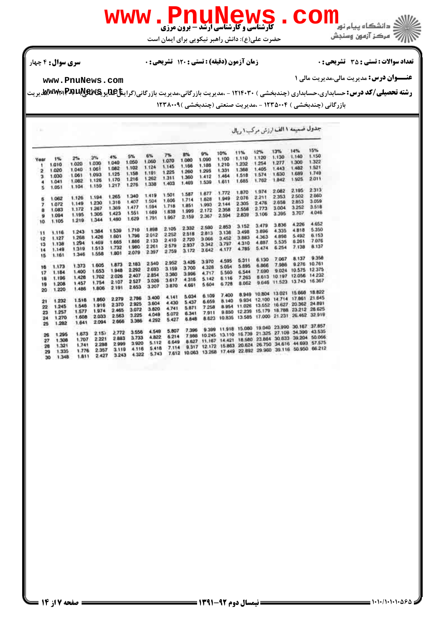

حضرت علي(ع): دانش راهبر نيكويي براي ايمان است

## تعداد سوالات : تستي تشريحي زمان آزمون (دقيقه) : تستي تشريحي سري سوال %& \$ \*: #)\*: \* '(: : :

**عنـــوان درس:** مديريت مالي،مديريت مالي 1

# **[www.PnuNews.com](http://pnunews.com)**

ر**شته تحصیلی/کد درس:** حسابداری،حسابداری (چندبخشی ) ۱۲۱۴۰۳۰ - ،مدیریت بازرگانی،مدیریت بازرگانی(گرای**نتاِعللیو یکلایالیالایالایالای**لیوییت بازرگانی (چندبخشی ) ۱۲۳۵۰۰۴ - ،مدیریت صنعتی (چندبخشی ) ۱۲۳۸۰۰۹

| ×    |       |       |         |       |       |       |       |        |        |        |        | جذول صميمه ا الف ارزش مركب ا ريال |               |                      |               |
|------|-------|-------|---------|-------|-------|-------|-------|--------|--------|--------|--------|-----------------------------------|---------------|----------------------|---------------|
|      |       |       |         |       |       |       |       |        | 9%     | 10%    | 11%    | 12%                               | 13%           | 14%                  | 15%           |
| Year | 1%    | 2%    | 3%      | 4%    | 5%    | 6%    | 7%    | 8%     |        | 1.100  | 1,110  | 1.120                             | 1.130         | 1.140                | 1.150         |
|      | 1.010 | 1.020 | 1.030   | 1.040 | 1.050 | 1,060 | 1.070 | 1.080  | 1.090  | 1,210  | 1,232  | 1.254                             | 1.277         | 1,300                | 1.322         |
| ۰    | 1.020 | 1.040 | 1.061   | 1.082 | 1.102 | 1.124 | 1.145 | 1.166  | 1.188  |        | 1,368  | 1.405                             | 1.443         | 1,482                | 1.521         |
| 2    |       | 1.061 | 1.093   | 1,125 | 1.158 | 1.191 | 1.225 | 1.260  | 1,295  | 1.331  | 1,518  | 1.574                             | 1.630         | 1.689                | 1.749         |
| з    | 1.030 | 1.082 | 1.125   | 1.170 | 1,216 | 1.262 | 1.311 | 1.360  | 1.412  | 1.464  | 1,685  | 1.762                             | 1.842         | 1.925                | 2.011         |
| 4    | 1.041 |       | 1.159   | 1.217 | 1.276 | 1.338 | 1.403 | 1.469  | 1.539  | 1.611  |        |                                   |               |                      |               |
| Ś    | 1.051 | 1.104 |         |       |       |       |       |        |        |        |        | 1.974                             | 2.082         | 2.195                | 2313          |
|      |       |       |         | 1.265 | 1,340 | 1.419 | 1.501 | 1.587  | 1.677  | 1,772  | 1.870  |                                   | 2353          | 2.502                | 2.660         |
| б    | 1.062 | 1.126 | 1.194   | 1,316 | 1.407 | 1.504 | 1,606 | 1,714  | 1.828  | 1.949  | 2.076  | 2211                              | 2.658         | 2.853                | 3.059         |
| 7    | 1.072 | 1.149 | 1.230   | 1 369 | 1.477 | 1.594 | 1.718 | 1,851  | 1.993  | 2.144  | 2.305  | 2.476                             | 3.004         | 3.252                | 3.518         |
| 8    | 1.083 | 1.172 | 1.267   |       | 1.551 | 1.689 | 1.638 | 1.999  | 2.172  | 2.358  | 2.558  | 2.773                             |               | 3.707                | 4.046         |
| 9    | 1.094 | 1.195 | 1.305   | 1.423 | 1.629 | 1.791 | 1.967 | 2.159  | 2.367  | 2.594  | 2.839  | 3.106                             | 3.395         |                      |               |
| 10   | 1.105 | 1.219 | 1.344   | 1.480 |       |       |       |        |        |        |        |                                   |               |                      | 4.652         |
|      |       |       |         |       |       | 1.898 | 2.105 | 2.332  | 2.580  | 2853   | 3.152  | 3.479                             | 3.836         | 4.226                | 5.350         |
| 11   | 1.116 | 1.243 | 1.384   | 1,539 | 1,710 | 2.012 | 2.252 | 2.518  | 2.813  | 3.138  | 3.498  | 3.896                             | 4.335         | 4818                 |               |
| 12   | 1.127 | 1,268 | 1.426   | 1.601 | 1,796 |       | 2,410 | 2.720  | 3.066  | 3.452  | 3 883  | 4.363                             | 4.898         | 5.492                | 6.153         |
| 13   | 1.138 | 1.294 | 1.469   | 1.665 | 1,886 | 2.133 | 2.579 | 2.937  | 3.342  | 3.797  | 4,310  | 4.887                             | 5.535         | 6.261                | 7.076         |
| 14   | 1.149 | 1.319 | 1.513   | 1,732 | 1.980 | 2261  | 2.759 | 3.172  | 3.642  | 4.177  | 4.785  | 5.474                             | 6.254         | 7.138                | 8.137         |
| 15   | 1.161 | 1.346 | 1.558   | 1.801 | 2.079 | 2.397 |       |        |        |        |        |                                   |               |                      |               |
|      |       |       |         |       |       |       |       |        | 3.970  | 4.595  | 5.311  | 6.130                             | 7,067         | 8.137                | 9.358         |
| 16   | 1.173 | 1.373 | 1.605   | 1.873 | 2.183 | 2.540 | 2.952 | 3.426  | 4.328  | 5.054  | 5.895  | 6.866                             | 7,986         | 9.276                | 10,761        |
| 17   | 1.184 | 1.400 | 1.653   | 1,948 | 2.292 | 2.693 | 3.159 | 3.700  | 4,717  | 5.560  | 6.544  | 7.690                             | 9.024         | 10.575               | 12375         |
| 18   | 1.196 | 1.428 | 1.702   | 2.026 | 2407  | 2.854 | 3.380 | 3.996  |        | 6.116  | 7.263  | 8.613                             | 10.197        | 12.056               | 14 232        |
|      | 1,208 | 1.457 | 1.754   | 2.107 | 2.527 | 3.026 | 3.617 | 4.316  | 5.142  | 6.728  | 8.062  | 9.646                             | 11.523        | 13.743               | 16.367        |
| 19   | 1,220 | 1.486 | 1.806   | 2 191 | 2.653 | 3.207 | 3.870 | 4.661  | 5.604  |        |        |                                   |               |                      |               |
| 20   |       |       |         |       |       |       |       |        |        |        | 8,949  | 10,804                            | 13.021        | 15,668               | 18.822        |
|      |       | 1,518 | 1,860   | 2.279 | 2.786 | 3.400 | 4.141 | 5.034  | 6.109  | 7.400  | 9.934  | 12.100                            | 14.714        | 17,861               | 21.645        |
| 21   | 1.232 |       | 1.916   | 2370  | 2.925 | 3.604 | 4.430 | 5.437  | 6.659  | 8.140  | 11.026 | 13.652                            | 16.627        | 20.362               | 24.891        |
| 22   | 1.245 | 1.546 | 1,974   | 2.465 | 3.072 | 3.820 | 4.741 | 5.871  | 7.258  | 8.954  |        | 15.179                            | 18.788        | 23 212 26 625        |               |
| 23   | 1.257 | 1.577 | 2.033   | 2.563 | 3.225 | 4.049 | 5.072 | 6.341  | 7.911  | 9.850  | 12.239 | 17.000 21.231                     |               | 26.462               | 32919         |
| 24   | 1.270 | 1.608 |         | 2.666 | 3.386 | 4.292 | 5.427 | 6.848  | 8.623  | 10.835 | 13.585 |                                   |               |                      |               |
| 25   | 1.282 | 1.641 | 2.094   |       |       |       |       |        |        |        |        |                                   |               | 23.990 30.167 37.857 |               |
|      |       |       |         |       | 3.558 | 4.549 | 5.807 | 7.396  | 9.399  | 11.918 | 15.080 | 19,040                            |               | 27.109 34.390        | 43.535        |
| 26   | 1.295 | 1.673 | 2.157   | 2.772 | 3.733 | 4.822 | 6.214 | 7.986  | 10.245 | 13.110 | 16.739 | 21.325                            |               | 39 204               | 50.066        |
| 27   | 1.308 | 1.707 | 2 2 2 1 | 2883  | 3.920 | 5.112 | 6.649 | 8.627  | 11.167 | 14.421 | 18,580 | 23.884                            | 30.633        |                      | 44 693 57.575 |
| 28   | 1.321 | 1.741 | 2.288   | 2.999 | 4.116 | 5.418 | 7.114 | 9.317  | 12.172 | 15.863 | 20.624 |                                   | 26.750 34.616 |                      | 50.950 66.212 |
| 29   | 1.335 | 1.776 | 2.357   | 3.119 |       | 5.743 | 7,612 | 10.063 | 13.268 | 17.449 | 22.892 | 29.960                            | 39.116        |                      |               |
| 30   | 1.348 | 1.811 | 2.427   | 3.243 | 4.322 |       |       |        |        |        |        |                                   |               |                      |               |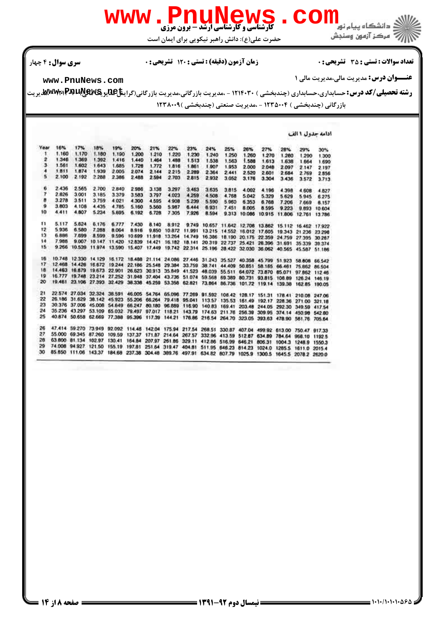

حضرت علي(ع): دانش راهبر نيكويي براي ايمان است

## تعداد سوالات : تستي تشريحي زمان آزمون (دقيقه) : تستي تشريحي سري سوال %& \$ \*: #)\*: \* '(: : :

**عنـــوان درس:** مديريت مالي،مديريت مالي 1

**[www.PnuNews.com](http://pnunews.com)**

ر**شته تحصیلی/کد درس:** حسابداری،حسابداری (چندبخشی ) ۱۲۱۴۰۳۰ - ،مدیریت بازرگانی،مدیریت بازرگانی(گرای**نتاِعللیو یکلایالیالایالایالای**لیوییت بازرگانی (چندبخشی ) ۱۲۳۵۰۰۴ - ،مدیریت صنعتی (چندبخشی ) ۱۲۳۸۰۰۹

ادامه جدول ۱ الف

| Year     | 16%    | 17%                  | 18%   | 19%                                                                                 | 20%   | 21%                  | 22%          | 23%   | 24%   | 25%                                                                                                      | 26%   | 27%                 | 28%                  | 29%           | 30%                  |
|----------|--------|----------------------|-------|-------------------------------------------------------------------------------------|-------|----------------------|--------------|-------|-------|----------------------------------------------------------------------------------------------------------|-------|---------------------|----------------------|---------------|----------------------|
| 1        | 1.160  | 1.170                | 1.180 | 1.190                                                                               | 1.200 | 1.210                | 1.220        | 1.230 | 1.240 | 1.250                                                                                                    | 1.260 | 1.270               | 1.260                | 1.290         | 1.300                |
| z        | 1.346  | 1.369                | 1.392 | 1.416                                                                               | 1,440 | 1.464                | 1.488        | 1.513 | 1.538 | 1.563                                                                                                    | 1.588 | 1.613               | 1.638                | 1.664         | 1.690                |
| J.       | 1.561  | 1.602                | 1.643 | 1.685                                                                               | 1.728 | 1.772                | 1,816        | 1.861 | 1.907 | 1.953                                                                                                    | 2,000 | 2.048               | 2.097                | 2.147         | 2.197                |
| 4        | 1.811  | 1.874                | 1.939 | 2.005                                                                               | 2.074 | 2.144                | 2215         | 2.289 | 2.364 | 2.441                                                                                                    | 2.520 | 2.601               | 2.684                | 2.769         | 2.856                |
| 5.       | 2.100  | 2.192                | 2.288 | 2.386                                                                               | 2.488 | 2.594                | 2.703        | 2.815 | 2.932 | 3.052                                                                                                    | 3.176 | 3.304               | 3.436                | 3.572         | 3.713                |
| 6        | 2.436  | 2.565                | 2.700 | 2.840                                                                               | 2.986 | 3 138                | 3.297        | 3.463 | 3.635 | 3.815                                                                                                    | 4.002 | 4.196               | 4.398                | 4.608         | 4.827                |
| 7        | 2.826  | 3.001                | 3.185 | 3.379                                                                               | 3.583 | 3.797                | 4.023        | 4,259 | 4.508 | 4.768                                                                                                    | 5.042 | 5.329               | 5.629                | 5945          | 6.275                |
| в        | 3.278  | 3.511                | 3.759 | 4.021                                                                               | 4.300 | 4.595                | 4.908        | 5.239 | 5.590 | 5.960                                                                                                    | 6.353 | 6.768               | 7.206                | 7.669         | 8.157                |
| $\theta$ | 3.803  | 4.106                | 4.435 | 4.785                                                                               | 5.160 | 5.560                | 5.987        | 6.444 | 6.931 | 7.451                                                                                                    | 8.005 | 8595                | 9.223                | 9.893         | 10,604               |
| 10       | 4.411  | 4.807                | 5.234 | 5.695                                                                               | 6.192 | 6.728                | 7.305        | 7.926 | 8.594 |                                                                                                          |       | 9.313 10.086 10.915 |                      |               | 11,806 12,761 13,786 |
| 11       | 5.117  | 5.624                | 6.176 | 6.777                                                                               | 7.430 | 8.140                | 8.912        |       |       | 9.749 10.657 11.642 12.708 13.862 15.112 16.462 17.922                                                   |       |                     |                      |               |                      |
| 12       | 5.936  | 6.580                | 7,288 | 8.064                                                                               | 8.916 |                      | 9.850 10.872 |       |       | 11,991 13.215 14.552 16.012 17.605 19.343 21.236 23.296                                                  |       |                     |                      |               |                      |
| 13       | 6.886  | 7.699                | 8.599 | 9.596                                                                               |       | 10.699 11.918 13.264 |              |       |       | 14.749 16.386 18.190 20.175 22.359 24.759 27.395 30.287                                                  |       |                     |                      |               |                      |
| 14       | 7.988  | 9,007                |       |                                                                                     |       |                      |              |       |       | 10 147 11 420 12 839 14 421 16 182 18 141 20 319 22 737 25 421 28 396 31 691 35 339 39 374               |       |                     |                      |               |                      |
| 15       | 9.266  |                      |       |                                                                                     |       |                      |              |       |       | 10.539 11.974 13.590 15.407 17.449 19.742 22.314 25.196 28.422 32.030 36.062 40.565 45.587 51.186        |       |                     |                      |               |                      |
| 16       |        |                      |       |                                                                                     |       |                      |              |       |       | 10.748 12.330 14.129 16.172 16.488 21.114 24.086 27.446 31.243 35.527 40.358 45.799 51.923 58.608 66.542 |       |                     |                      |               |                      |
| 17       | 12.468 |                      |       |                                                                                     |       |                      |              |       |       | 14.426 16.672 19.244 22.186 25.548 29.384 33.759 38.741 44.409 50.851 58.165 66.461 75.852 86.504        |       |                     |                      |               |                      |
| 18       |        |                      |       |                                                                                     |       |                      |              |       |       | 14.463 16.879 19.673 22.901 26.623 30.913 35.849 41.523 48.039 55.511 64.072 73.870 85.071 97.862 112.46 |       |                     |                      |               |                      |
| 19       |        |                      |       |                                                                                     |       |                      |              |       |       | 16.777 19.748 23.214 27.252 31.948 37.404 43.736 51.074 59.568 69.389 80.731 93.815 106.89 126.24 146.19 |       |                     |                      |               |                      |
| 20       |        |                      |       |                                                                                     |       |                      |              |       |       | 19.461 23.106 27.393 32.429 38.338 45.259 53.358 62.821 73.864 86.736 101.72 119.14 139.38               |       |                     |                      | 162.85 190.05 |                      |
| 21       |        |                      |       |                                                                                     |       |                      |              |       |       | 22.574 27.034 32.324 38.591 46.005 54.764 65.096 77.269 91.592 108.42 128.17 151.31 178.41 210.08 247.06 |       |                     |                      |               |                      |
| 22       |        |                      |       |                                                                                     |       |                      |              |       |       | 26.186 31.629 38.142 45.923 55.206 66.264 79.418 95.041 113.57 135.53 161.49 192.17 228.36 271.00 321.18 |       |                     |                      |               |                      |
| 23       |        |                      |       |                                                                                     |       |                      |              |       |       | 30.376 37.006 45.008 54.649 66.247 80.180 96.889 116.90 140.83 169.41 203.48 244.05 292.30 349.59 417.54 |       |                     |                      |               |                      |
| 24       |        |                      |       |                                                                                     |       |                      |              |       |       | 35 236 43 297 53 109 65 032 79 497 97 017 118 21 143 79 174 63 211 76 256 39 309 95 374 14 450 96 542 80 |       |                     |                      |               |                      |
| 25       |        |                      |       |                                                                                     |       |                      |              |       |       | 40.874 50.658 62.669 77.388 95.396 117.39 144.21 176.86 216.54 264.70 323.05 393.63 478.90 561.76 705.64 |       |                     |                      |               |                      |
| 26       |        |                      |       |                                                                                     |       |                      |              |       |       | 47.414 59.270 73.949 92.092 114.48 142.04 175.94 217.54 268.51 330.87 407.04 499.92 613.00 750.47 917.33 |       |                     |                      |               |                      |
| 27       |        | 55.000 69.345 87.260 |       |                                                                                     |       |                      |              |       |       | 109.59 137.37 171.87 214.64 267.57 332.96 413.59 512.87 634.89 784.64 958.10 1192.5                      |       |                     |                      |               |                      |
| 28       |        | 63 800 81 134 102.97 |       | 130.41                                                                              |       |                      |              |       |       | 164.84 207.97 261.86 329.11 412.86 516.99 646.21                                                         |       | 806.31              | 1004.3 1248.9 1550.3 |               |                      |
| 29       |        | 74.008 94.927 121.50 |       |                                                                                     |       |                      |              |       |       | 155.19 197.81 251.64 319.47 404.81 511.95 646.23 814.23 1024.0 1285.5 1611.0 2015.4                      |       |                     |                      |               |                      |
| 30       |        | 85.850 111.06 143.37 |       | 184.68 237.38 304.48 389.76 497.91 634.82 807.79 1025.9 1300.5 1645.5 2078.2 2620.0 |       |                      |              |       |       |                                                                                                          |       |                     |                      |               |                      |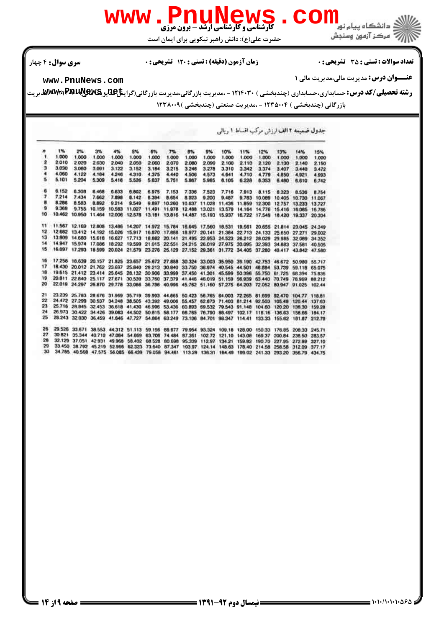

**عنـــوان درس:** مديريت مالي،مديريت مالي 1

تعداد سوالات : تستي تشريحي زمان آزمون (دقيقه) : تستي تشريحي سري سوال %& \$ \*: #)\*: \* '(: : :

حضرت علي(ع): دانش راهبر نيكويي براي ايمان است

**[www.PnuNews.com](http://pnunews.com)**

ر**شته تحصیلی/کد درس:** حسابداری،حسابداری (چندبخشی ) ۱۲۱۴۰۳۰ - ،مدیریت بازرگانی،مدیریت بازرگانی(گرای**نتاِعللیو یکلایالیالایالایالای**لیوییت بازرگانی (چندبخشی ) ۱۲۳۵۰۰۴ - ،مدیریت صنعتی (چندبخشی )۱۲۳۸۰۰۹

جدول ضمیمه ۲ الف ارزش مرکب اقساط ۱ ریالی

t% 9%<br>1.000 12% 13%  $\overline{a}$ 2% 3% 4% 5% 6% 7% 8% 10% 11% 14% 15% 1.000 1.000 1.000 1.000 1,000 1.000 1,000 1.000 1.000 1.000 1.000 1,000 1,000 1,000  $\overline{2}$ 2.010 2.020 2.030 2.040 2.050 2.060 2.070 2.080 2.090 2.100 2.110 2.120 2.130 2.140 2.150 3 3.030 3.060  $3.091$  $3.122$ 3.152 3.184 3.215 3.246  $3.278$ 3.310  $3.342$  $3.374$ 3.407 3.440  $3.472$ 4.060  $4.122$  $4.246$ 4.184 4.310 4.375 4,440 4.506 4.573 4.641 4,710 4.779 4.850 4921 4.991 3 5.416 5.526 5.101 5.204 5.309 5.751 5.667 6.105 5.637 5.985 622B 6,353 6.480 6,610 6742 s 6.152 8.305 8,468 6.633 6,802 6.975 7.153 7.336 7.523 7,716 7.913 8.115 8.323 8.536 8.754  $7.214$ 7.434 7.662 7.898 8.142 6.394 **B 654** 8.923 9.200 9,487 9.783 10.089 10.405 10.730 11.067 8.583 9.897 10.260 10.637 11.028 × 8.286 8.892 9.214 9.549 11,436 11.859 12.300 12.757 13.233 13.727  $\ddot{\mathbf{q}}$ 9.369 9.755 10.159 10.583 11.027 11.491 11.978 12.488 13.021 13.579 14.164 14.776 15.416 16.085 16,786 10 10.462 10.950 11.464 12.006 12.578 13.181 13.816 14.487 15.193 15.937 16.722 17.549 18.420 19.337 20.304 11.567 12.169 12.808 13,486 14.207 14.972 15.784 16.645 17.560 18.531 19.561 20.655 21.814 23.045 24.349 12.682 13.412 14.192 15.026 15.917 16.670 17.688 18.977 20.141 21.384 22.713 24.133 25.650 27.271 29.002  $12$ 13.809 14.680 15.618 16.627 17.713 18.882 20.141 21.495 22.953 24.523 26.212 28.029 29.985 32.089 34.352 13 14 14.947 15.974 17.086 18:292 19.599 21.015 22.551 24.215 26.019 27.975 30.095 32.393 34.883 37.581 40,505 16.097 17.293 18.599 20.024 21.579 23.276 25.129 27.152 29.361 31.772 34.405 37.280 40.417 43.842 15 47,580 16 17.258 18.639 20.157 21.825 23.657 25.672 27.888 30.324 33.003 35.950 39.190 42.753 46.672 50.980 55.717 17 18 430 20 012 21.762 23.697 25.840 28.213 30.840 33.750 36.974 40.545 44.501 48.884 53.739 59.118 65.075 19.615 21.412 23.414 25.645 28.132 30.906 33.999 37.450 41.301 45.599 50.396 55.750 61.725 68.394 75.836<br>20.811 22.840 25.117 27.671 30.539 33.760 37.379 41.446 46.019 51.159 56.939 63.440 70.749 78.969 68.212 18 19 20 22.019 24.297 26.870 29.778 33.066 36.786 40.996 45.762 51.160 57.275 64.203 72.052 80.947 91.025 102.44  $21$ 23.239 25.783 28.676 31.969 35.719 39.993 44.665 50.423 56.765 64.003 72.265 81.699 92.470 104.77 118.61 22 24.472 27.299 30.537 34.248 38.505 43.392 49.006 55.457 62.873 71.403 81.214 92.503 105.49 120.44 137.63  $23$ 25.716 28.845 32.453 36.618 41.430 46.996 53.436 60.893 69.532 79.543 91.148 104.60 120.20 138.30 159.28 26.973 30.422 34.426 39.083 44.502 50.815 58.177 66.765 76.790 88.497 102.17 118.16 136.83 158.66 184.17 25 28 243 32 030 36 459 41.646 47.727 54.864 63 249 73.106 84.701 98.347 114.41 133.33 155.62 181.87 212.79 26 29.526 33.671 38.553 44.312 51.113 59.156 68.677 79.954 93.324 109.18 128.00 150.33 176.85 208.33 245.71 30.821 35.344 40.710 47.084 54.669 63.706 74.484 87.351 102.72 121.10 143.08 169.37 200.84 238.50 283.57<br>32.129 37.051 42.931 49.968 58.402 68.528 80.698 95.339 112.97 134.21 159.82 190.70 227.95 272.89 327.10 28 29 33 450 38 792 45 219 52 966 62 323 73 640 87 347 103 97 124 14 148 63 178 40 214 58 258 58 312 09  $377.17$ 34.785 40.568 47.575 56.085 66.439 79.058 94.461 113.28 136.31 184.49 199.02 241.33 293.20 356.79 434.75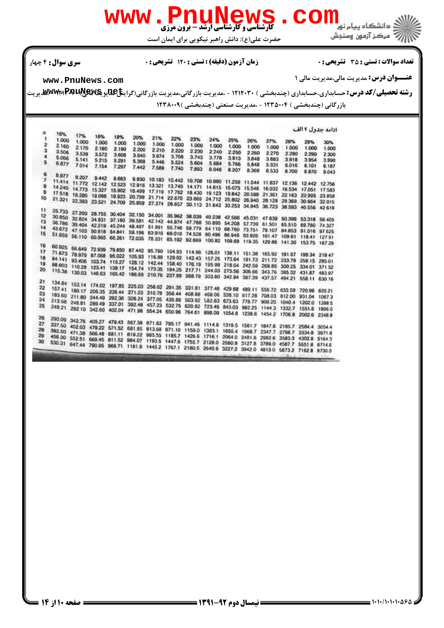حضرت علي(ع): دانش راهبر نيكويي براي ايمان است

### تعداد سوالات : تستي تشريحي زمان آزمون (دقيقه) : تستي تشريحي سري سوال %& \$ \*: #)\*: \* '(: : :

**عنـــوان درس:** مديريت مالي،مديريت مالي 1

**[www.PnuNews.com](http://pnunews.com)**

ر**شته تحصیلی/کد درس:** حسابداری،حسابداری (چندبخشی ) ۱۲۱۴۰۳۰ - ،مدیریت بازرگانی،مدیریت بازرگانی(گرای**نتاِعللیو یکلایالیالایالایالای**لیوییت

بازرگانی (چندبخشی ) ۱۲۳۵۰۰۴ - ،مدیریت صنعتی (چندبخشی ) ۱۲۳۸۰۰۹

| n               |              |       |                   |       |       |       |                                                                                                                                                                                                                      |       |       |       |       |       |       |       | ادامه جدول آ الف |
|-----------------|--------------|-------|-------------------|-------|-------|-------|----------------------------------------------------------------------------------------------------------------------------------------------------------------------------------------------------------------------|-------|-------|-------|-------|-------|-------|-------|------------------|
| 1               | 16%<br>1.000 | 17%   | 18%               | 19%   | 20%   | 21%   | 22%                                                                                                                                                                                                                  | 23%   | 24%   | 25%   |       |       |       |       |                  |
| 2               | 2.160        | 1.000 | 1,000             | 1,000 | 1.000 | 1.000 | 1.000                                                                                                                                                                                                                | 1.000 | 1,000 | 1.000 | 26%   | 27%   | 28%   | 29%   | 30%              |
| ä               | 3.506        | 2.170 | 2.180             | 2.190 | 2 200 | 2.210 | 2.220                                                                                                                                                                                                                | 2.230 | 2240  | 2.250 | 1.000 | 1.000 | 1,000 | 1,000 | 1.000            |
| 4               | 5.066        | 3.539 | 3.572             | 3.606 | 3.640 | 3.674 | 3.708                                                                                                                                                                                                                | 3.743 | 3.778 |       | 2.260 | 2.270 | 2.280 | 2290  | 2.300            |
| s               |              | 5.141 | 5.215             | 5.291 | 5.368 | 5.446 | 5.524                                                                                                                                                                                                                | 5.604 | 5.684 | 3.813 | 3.848 | 3.883 | 3918  | 3.954 | 3.990            |
|                 | 6.877        | 7.014 | 7.154             | 7.297 | 7.442 | 7.589 | 7.740                                                                                                                                                                                                                | 7.893 | 8.048 | 5.766 | 5.848 | 5.931 | 5.016 | 6.101 | 6.187            |
| 6               |              |       |                   |       |       |       |                                                                                                                                                                                                                      |       |       | 8.207 | 8.368 | 8.533 | 8.700 | 8.870 | 9.043            |
| 7               | 8.977        |       | 9.207 9.442 9.683 |       |       |       |                                                                                                                                                                                                                      |       |       |       |       |       |       |       |                  |
| 8               |              |       |                   |       |       |       | 9.930 10.183 10.442 10.708 10.980 11.259 11.544 11.837 12.136 12.442 12.756<br>11.414 11.772 12.142 12.523 12.916 13.321 13.740 14.171 14.615 15.073 15.546 16.032 16.534 17.051 17.583                              |       |       |       |       |       |       |       |                  |
| э               |              |       |                   |       |       |       | 14 240 14:773 15:327 15:902 16:499 17:119 17:762 18:430 19:123 19:842 20:588 21:361 22:163 22:995 23:858                                                                                                             |       |       |       |       |       |       |       |                  |
| 10              |              |       |                   |       |       |       | 17.518 18.285 19.086 19.923 20.799 21.714 22.670 23.669 24.712 25.802 26.940 28.129 29.369 30.664 32.015                                                                                                             |       |       |       |       |       |       |       |                  |
|                 |              |       |                   |       |       |       |                                                                                                                                                                                                                      |       |       |       |       |       |       |       |                  |
|                 |              |       |                   |       |       |       | 22.393 23.521 24.709 25.959 27.274 28.657 30.113 31.643 33.253 34.945 36.723 38.593 40.556 42.619                                                                                                                    |       |       |       |       |       |       |       |                  |
| 11<br>12        |              |       |                   |       |       |       | 25.733 27.200 28.755 30.404 32.150 34.001 35.962 38.039 40.238 42.566 45.031 47.639 50.398 53.318 56.405                                                                                                             |       |       |       |       |       |       |       |                  |
|                 |              |       |                   |       |       |       | 32824 34.931 37.180 39.581 42.142 44.874 47.788 50.895 54.208 57.739 61.501 65.510 69.780 74.327                                                                                                                     |       |       |       |       |       |       |       |                  |
| រា              |              |       |                   |       |       |       |                                                                                                                                                                                                                      |       |       |       |       |       |       |       |                  |
| 14              |              |       |                   |       |       |       | 36.786 39.404 42.219 45.244 48.497 51.991 55.746 59.779 64.110 68.760 73.751 79.107 84.853 91.016 97.625                                                                                                             |       |       |       |       |       |       |       |                  |
| 15              |              |       |                   |       |       |       | 43.672 47.103 50.818 54.841 59.196 63.910 69.010 74.528 80.496 86.949 93.926 101.47 109.61 118.41 127.91                                                                                                             |       |       |       |       |       |       |       |                  |
|                 |              |       |                   |       |       |       | 51.659 56.110 60.965 66.261 72.035 78.331 85.192 92.669 100.82 109.69 119.35 129.86 141.30 153.75 167.29                                                                                                             |       |       |       |       |       |       |       |                  |
| 16              |              |       |                   |       |       |       | 60.925 66.649 72.939 79.850 87.442 95.760 104.93 114.96 126.01 138.11 151.38 165.92 181.07 199.34 218.47                                                                                                             |       |       |       |       |       |       |       |                  |
| 17              |              |       |                   |       |       |       | 71673 78979 87.068 96.022 105.93 116.89 129.02 142.43 157.25 173.64 191.73 211.72 233.79 258.15 285.01                                                                                                               |       |       |       |       |       |       |       |                  |
| 18              |              |       |                   |       |       |       |                                                                                                                                                                                                                      |       |       |       |       |       |       |       |                  |
| 19              |              |       |                   |       |       |       | 84.141 93.406 103.74 115.27 128.12 142.44 158.40 176.19 195.99 218.04 242.59 269.89 300.25 334.01 371.52                                                                                                             |       |       |       |       |       |       |       |                  |
| 20              |              |       |                   |       |       |       | 98.603 110.28 123.41 138.17 154.74 173.35 194.25 217.71 244.03 273.56 306.66 343.76 385.32 431.87 483.97                                                                                                             |       |       |       |       |       |       |       |                  |
|                 |              |       |                   |       |       |       | 115.38 130.03 146.63 165.42 186.69 210.76 237.99 268.79 303.60 342.94 367.39 437.57 494.21 558.11                                                                                                                    |       |       |       |       |       |       |       | 630.16           |
| 21              |              |       |                   |       |       |       |                                                                                                                                                                                                                      |       |       |       |       |       |       |       |                  |
| 22              |              |       |                   |       |       |       | 134 84 153 14 174 02 197.85 225.03 256.02 291.35 331.61 377.46 429.68 489.11 556.72 633.59 720.96 820.21                                                                                                             |       |       |       |       |       |       |       |                  |
| 23              |              |       |                   |       |       |       | 157.41 180.17 206.35 236.44 271.03 310.78 356.44 408.88 469.06 538.10 617.28 708.03 812.00 931.04 1067.3                                                                                                             |       |       |       |       |       |       |       |                  |
| 24              |              |       |                   |       |       |       | 183.60 211.80 244.49 282.36 326.24 377.05 435.66 503.92 582.63 673.63 778.77 900.20 1040.4 1202.0 1388.5                                                                                                             |       |       |       |       |       |       |       |                  |
| 25              |              |       |                   |       |       |       | 21398 248.81 289.49 337.01 392.48 457.23 532.75 620.82 723.46 843.03 982.25 1144.3 1332.7 1551.6 1806.0                                                                                                              |       |       |       |       |       |       |       |                  |
|                 |              |       |                   |       |       |       | 249 21 292 10 342 60 402 04 471 98 554 24 650 96 764 61 898 09 1054 8 1238 6 1454 2 1706 8 2002 6 2348 8                                                                                                             |       |       |       |       |       |       |       |                  |
| 26 <sub>1</sub> |              |       |                   |       |       |       |                                                                                                                                                                                                                      |       |       |       |       |       |       |       |                  |
| 27              |              |       |                   |       |       |       |                                                                                                                                                                                                                      |       |       |       |       |       |       |       |                  |
| 28              |              |       |                   |       |       |       | 290.09 342.76 405.27 479.43 567.36 671.63 795.17 941.46 1114.6 1319.5 1561.7 1847.8 2185.7 2584.4 3054.4                                                                                                             |       |       |       |       |       |       |       |                  |
| 29              |              |       |                   |       |       |       | 337.50 402.03 479.22 571.52 681.85 813.68 971.10 1159.0 1383.1 1650.4 1968.7 2347.7 2798.7 3334.8 3971.8<br>392.50 471.38 566.48 681.11 819.22 985.55 1185.7 1426.6 1716.1 2064.0 2481.6 2982.6 3583.3 4302.9 5164.3 |       |       |       |       |       |       |       |                  |
| 30              |              |       |                   |       |       |       |                                                                                                                                                                                                                      |       |       |       |       |       |       |       |                  |
|                 |              |       |                   |       |       |       | 456.30 552.51 669.45 811.52 984.07 1193.5 1447.6 1755.7 2129.0 2580.9 3127.8 3789.0 4587.7 5551.8 6714.6                                                                                                             |       |       |       |       |       |       |       |                  |
|                 |              |       |                   |       |       |       | 530.31 647.44 790.95 966.71 1181.9 1445.2 1767.1 2180.5 2640.9 3227.2 3942.0 4613.0 5673.2 7162.8 8730.0                                                                                                             |       |       |       |       |       |       |       |                  |
|                 |              |       |                   |       |       |       |                                                                                                                                                                                                                      |       |       |       |       |       |       |       |                  |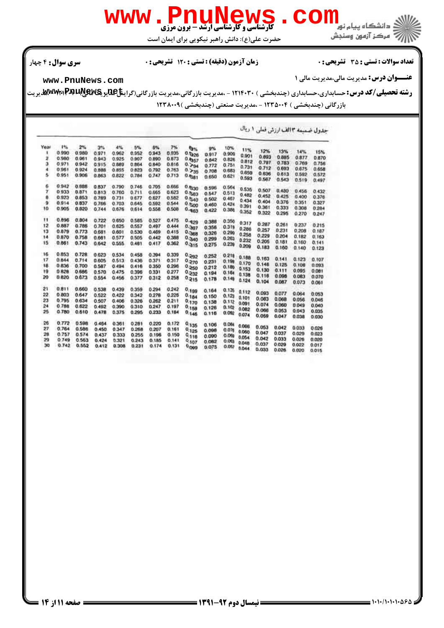

حضرت علي(ع): دانش راهبر نيكويي براي ايمان است

تعداد سوالات : تستي تشريحي زمان آزمون (دقيقه) : تستي تشريحي سري سوال %& \$ \*: #)\*: \* '(: : :

**عنـــوان درس:** مديريت مالي،مديريت مالي 1

**[www.PnuNews.com](http://pnunews.com)**

ر**شته تحصیلی/کد درس:** حسابداری،حسابداری (چندبخشی ) ۱۲۱۴۰۳۰ - ،مدیریت بازرگانی،مدیریت بازرگانی(گرای**نتاِعللیو یکلایالیالایالایالای**لیوییت بازرگانی (چندبخشی ) ۱۲۳۵۰۰۴ - ،مدیریت صنعتی (چندبخشی )۱۲۳۸۰۰۹

جدول ضميمه ١٣ الف ارزش فعلى ١ ريال Yea 1%  $2<sup>n</sup>$ 3% 4% 5% 6% 10%  $7%$ er. 9% 11% 12% 0.990 0.980 0.935 13% 14%  $0.971$ 0.962 0.952 0.943 **TKAL** 0.917 0.909  $0.901$ 0.893 0.885 0.877 0.980 0.961  $0.943$ 0.925 0.907 0.890 0.873  $0.826$ 0.870  $0.842$  $0.812$  $0.797$  $0.783$ 0.769  $0.971$  $0.756$  $\mathfrak{a}$ 0.942 0.915 0.889 0.864 0.840 0.816  $0.772$  $0.751$  $0.731$  $0.712$  $0.693$ 0.675 0.658 0.961 0.924 0.855 0.823  $0.792$ 0.763 0.885  $0.708$ O 683 0.659 0.636 0.613 5  $0.951$ 0.906 0.863 0.822  $0.784$  $0.747$  $0.713$  $0.681$  $0.621$ 0.592  $0.572$ 0.650 0.593 0.567  $0.543$ 0.519  $0.497$ 0.942 0.888 0.746 0.705 0.666 0.837 0.790  $0.630$ 0.596 0.564 0.538 0.507 0.430  $0.563$ <br> $0.540$ 0.456 0933 0.871 0.813 0.760  $0.711$ 0.665 0.623 0.432  $0.513$ 0.547  $0.482$  $0.452$ 0.425  $0.400$ 0.376 ñ  $0.923$ 0.853 0.789  $0.731$ 0.677 0.827 0.582 0.502  $0.467$  $0.434$  $0.404$ 0.376 0.351 0.327 0.914 0.837 0.544  $0.500$ 0.703 0.592 0.766 0.645 0.460 0.424  $0.391$  $0.361$ 0.333 10 0.905  $0.820$ 0.744 0.676 0.614  $0.558$ 0.508  $0.963$  $0.386$  $0.308$  $0.284$  $0.422$  $0.352$ 0.322 0.295 0.270 0.247  $\mathbf{H}$ 0.895  $0.804$ 0.475  $0.722$ 0.650 0.585 0.527  $0.429$ 0.388  $0.356$  $0.317$  $0.287$  $0.261$  $12$ 0.887 0.786  $0.701$ 0.625 0.557 0.497  $0.444$ 0.237  $0.215$  $0.397$ 0.356  $0.319$  $0.286$ 0.257 0.368 13 0.879  $0.773$ 0.681 0.601 0.530  $0.469$ 0.415  $0.290$ 0.231  $0.208$  $0.187$ 0.326  $0.258$  $0.229$ 0.204  $0.182$  $0.163$ 14 0.870 0.758 0.661  $0.577$ 0.505 0.442 0.388 0.299  $0.261$ 0.232 0.205  $15$ 0.861  $0.743$  $0.315$  $0.181$ 0.160  $0.141$ 0.362 0.417 0.642 0.555  $0.481$  $0.239$ 0.275  $0.209$  $0.183$ 0.160 0.140  $0.123$  $0.292$ 16 0.853 0.728 0.623 0.534 0.458 0.394 0.339  $0.252$ 0.218 0.188 0.163 0.141  $0.123$  $0.107$ 17 0.844 0.198 0.714 0.605  $0.513$ 0.436  $0.321$ 0.317  $0.510$  $0.231$ 0.170 0.836 0.700 0.296  $0.146$ 0.125 0.108 0.093 18 0.587  $0.250$  $0.494$ 0.350  $0.416$ 0.212  $0.180$  $0.153$  $0.130$ 0.111  $0.532$ 0.095 19 0828 0.686 0.570 0.475 0.396  $0.331$ 0.277 0.081  $0.194$  $0.164$  $0.138$  $0.116$ 0.098 0.083 0.070 0.377  $0.215$ 20 0.820 0.673 0.554 0.456 0.258 0.312  $0.149$   $0.124$ 0.178  $0.104$ 0.087 0.073  $0.06$ 21 0.811 0.660 0.242 0.538 0.439 0.359 0.294  $0.135$  0.112  $0.199$ 0.164 0.093 0.077 0.064  $0.184$ 0.053 0.803 0.647 22 0.522  $0.422$ 0.342 0.278 0.226  $0.123$   $0.101$ 0.150  $0.083$ 0.068 0.056 0.046  $0.170$  $0.112$  0.091 23 0.795 0.634 0.507 0.406 0.326 0.262  $0.211$  $0.138$  $0.074$ 0.060 0.049 0.040  $24$  $0.158$ 0.788 0.622  $0.492$ 0.390 0.310  $0.247$  $0.197$  $0.102$  $0.126$ 0.082 0.066 25 0.063  $0.043$ 0.035 0.780 0.610 0.478 0.375 0.233 0.184 0.295  $0.146$  $0.116$ 0.092  $0.074$ 0.069  $0.047$ 0.038  $0.030$ 26  $0.772$ 0.598 0.464 0.361  $0.281$ 0.220 0.172  $^{0,135}$ 0.106 0.064 0.066 0.053 27 0.042 0.033 0.026 0.764 0.586 0.347 0.268  $0.207$  $0.125$ 0.450 0.161 0.098  $0.076$ 0.060  $0.047$ 0.037  $0.118$ <br> $0.118$ <br> $0.107$  $\begin{array}{c} 28 \\ 29 \end{array}$ 0.757 0.574 0.437 0.333 0.255 0.196 0.150 0.029  $0.023$ 0.090  $0.069$ 0.054  $0.042$ 0.026 0.020 0.033  $0.749$ 0.563 0.424 0.321  $0.243$ 0.185 0.141  $0.061$ 0.048  $0.037$  $0.742$ 0.552  $0.029$  $0.022$ 0.017 0.308  $0.231$  $0.174$  $0.131$  $0.412$  $^{0.099}$ 0.075  $0.052$ 0.044 0.033 0.026 0.020  $0.015$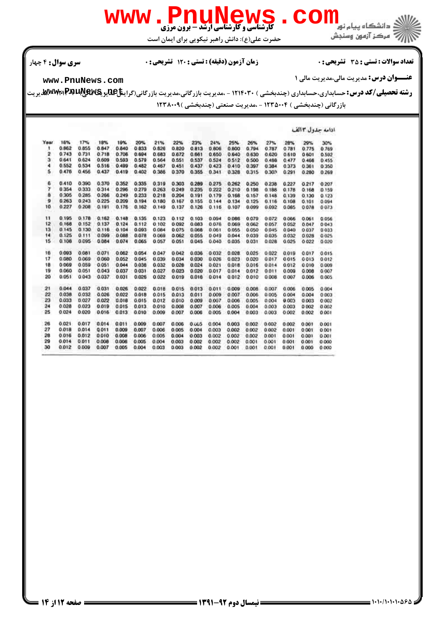

حضرت علي(ع): دانش راهبر نيكويي براي ايمان است

تعداد سوالات : تستي تشريحي زمان آزمون (دقيقه) : تستي تشريحي سري سوال %& \$ \*: #)\*: \* '(: : :

**عنـــوان درس:** مديريت مالي،مديريت مالي 1

**[www.PnuNews.com](http://pnunews.com)**

ر**شته تحصیلی/کد درس:** حسابداری،حسابداری (چندبخشی ) ۱۲۱۴۰۳۰ - ،مدیریت بازرگانی،مدیریت بازرگانی(گرای**نتاِعللیو یکلایالیالایالایالای**لیوییت

بازرگانی (چندبخشی ) ۱۲۳۵۰۰۴ - ،مدیریت صنعتی (چندبخشی ) ۱۲۳۸۰۰۹

|            |       |       |       |       |       |       |       |       |         |       |       |       |       |       | ادامه جدول 2 الف |
|------------|-------|-------|-------|-------|-------|-------|-------|-------|---------|-------|-------|-------|-------|-------|------------------|
| Year       | 16%   | 17%   | 18%   | 19%   | 20%   | 21%   | 22%   | 23%   | 24%     | 25%   | 26%   | 27%   | 28%   | 29%   | 30%              |
| ۹          | 0.862 | 0.855 | 0.847 | 0.840 | 0833  | 0.826 | 0.820 | 0.813 | 0.806   | 0.800 | 0.794 | 0.787 | 0.781 | 0.775 | 0.769            |
| 2          | 0.743 | 0.731 | 0.718 | 0.706 | 0.694 | 0.683 | 0.672 | 0.661 | 0.650   | 0.640 | 0.630 | 0.620 | 0.610 | 0.601 | 0.592            |
| э          | 0.641 | 0.624 | 0.609 | 0.593 | 0.579 | 0.564 | 0.551 | 0.537 | 0.524   | 0.512 | 0.500 | 0.480 | 0.477 | 0.466 | 0.455            |
| 4          | 0.552 | 0.534 | 0.516 | 0.499 | 0.482 | 0.467 | 0.451 | 0.437 | 0.423   | 0.410 | 0.397 | 0.384 | 0.373 | 0.361 | 0 350            |
| 5          | 0.476 | 0.456 | 0.437 | 0.419 | 0.402 | 0.386 | 0.370 | 0.355 | 0.341   | 0.328 | 0.315 | 0.303 | 0.291 | 0.280 | 0.269            |
| 6          | 0.410 | 0.390 | 0.370 | 0.352 | 0.335 | 0.319 | 0.303 | 0.289 | 0.275   | 0.262 | 0.250 | 0.238 | 0.227 | 0.217 | 0.207            |
| γ          | 0354  | 0.333 | 0.314 | 0.296 | 0.279 | 0.263 | 0.249 | 0.235 | 0.222   | 0.210 | 0.198 | 0.188 | 0.178 | 0.168 | 0.159            |
| ā          | 0.305 | 0.285 | 0.266 | 0.249 | 0.233 | 0.218 | 0.204 | 0.191 | 0.179   | 0.168 | 0.157 | 0.148 | 0.139 | 0.130 | 0.123            |
| 9          | 0.263 | 0243  | 0.225 | 0.209 | 0.194 | 0.180 | 0.167 | 0.155 | 0.144   | 0.134 | 0.125 | 0.116 | 0.108 | 0.101 | 0.094            |
| 10<br>r nu | 0.227 | 0.208 | 0.191 | 0.176 | 0.162 | 0.149 | 0.137 | 0.126 | 0.116   | 0.107 | 0.099 | 0.092 | 0.085 | 0.078 | 0073             |
| 11         | 0.195 | 0.178 | 0.162 | 0.148 | 0.135 | 0.123 | 0.112 | 0.103 | 0.094   | 0.086 | 0.079 | 0.072 | 0.066 | 0.061 | 0.056            |
| 12         | 0.168 | 0.152 | 0.137 | 0.124 | 0.112 | 0.102 | 0.092 | 0.083 | 0.076   | 0.069 | 0.062 | 0.057 | 0.052 | 0.047 | 0043             |
| 13         | 0.145 | 0.130 | 0.116 | 0.104 | 0.093 | 0.064 | 0.075 | 0.068 | 0.061   | 0.055 | 0.050 | 0.045 | 0.040 | 0.037 | 0 0 3 3          |
| 14         | 0.125 | 0.111 | 0.099 | 0088  | 0.078 | 0.069 | 0.062 | 0.055 | 0 0 4 9 | 0.044 | 0.039 | 0.035 | 0.032 | 0.028 | 0.025            |
| 15         | 0.108 | 0.095 | 0.084 | 0.074 | 0.065 | 0.057 | 0.051 | 0.045 | 0.040   | 0.035 | 0.031 | 0.028 | 0.025 | 0.022 | 0.020            |
| 16         | 0.093 | 0.081 | 0.071 | 0.062 | 0.054 | 0.047 | 0.042 | 0.036 | 0.032   | 0.028 | 0.025 | 0.022 | 0.019 | 0.017 | 0.015            |
| 17         | 0.080 | 0.069 | 0.060 | 0.052 | 0.045 | 0.039 | 0.034 | 0.030 | 0.026   | 0.023 | 0.020 | 0.017 | 0.015 | 0013  | 0012             |
| 18         | 0.069 | 0.059 | 0.051 | 0.044 | 0.038 | 0.032 | 0.028 | 0.024 | 0.021   | 0.018 | 0.016 | 0.014 | 0.012 | 0.010 | 0.009            |
| 19         | 0.060 | 0.051 | 0.043 | 0.037 | 0.031 | 0.027 | 0.023 | 0.020 | 0.017   | 0.014 | 0.012 | 0.011 | 0.009 | 0.008 | 0.007            |
| 20         | 0.051 | 0.043 | 0.037 | 0.031 | 0.026 | 0.022 | 0.019 | 0.016 | 0.014   | 0.012 | 0.010 | 0.008 | 0.007 | 0.006 | 0.005            |
| 21         | 0.044 | 0.037 | 0.031 | 0.026 | 0.022 | 0.018 | 0.015 | 0.013 | 0.011   | 0.009 | 0.005 | 0.007 | 0.006 | 0.005 | 0.004            |
| 22         | 0.038 | 0.032 | 0.026 | 0.022 | 0.018 | 0.015 | 0.013 | 0.011 | 0.009   | 0.007 | 0.006 | 0.005 | 0.004 | 0.004 | 0.003            |
| 23         | 0.033 | 0.027 | 0.022 | 0.018 | 0.015 | 0.012 | 0.010 | 0.009 | 0.007   | 0.006 | 0.005 | 0.004 | 0.003 | 0.003 | 0.002            |
| 24         | 0.028 | 0.023 | 0.019 | 0.015 | 0.013 | 0.010 | 0.008 | 0.007 | 0.006   | 0.005 | 0.004 | 0.003 | 0.003 | 0.002 | 0.002            |
| 25         | 0.024 | 0.020 | 0.016 | 0.013 | 0.010 | 0.009 | 0.007 | 0.006 | 0.005   | 0.004 | 0.003 | 0.003 | 0.002 | 0.002 | 0.001            |
| 26         | 0.021 | 0.017 | 0.014 | 0.011 | 0.009 | 0.007 | 0.006 | 0.0GS | 0.004   | 0.003 | 0.002 | 0.002 | 0.002 | 0.001 | 0.001            |
| 27         | 0.018 | 0.014 | 0.011 | 0.009 | 0.007 | 0.006 | 0.005 | 0.004 | 0.003   | 0.002 | 0.002 | 0.002 | 0.001 | 0.001 | 0.001            |
| 28         | 0.016 | 0.012 | 0.010 | 0.008 | 0.006 | 0.005 | 0.004 | 0.003 | 0.002   | 0.002 | 0.002 | 0.001 | 0.001 | 0.001 | 0.001            |
| 29         | 0.014 | 0.011 | 0.008 | 0.006 | 0.005 | 0.004 | 0.003 | 0.002 | 0.002   | 0.002 | 0.001 | 0.001 | 0.001 | 0.001 | 0.000            |
| 30         | 0.012 | 0.009 | 0.007 | 0.005 | 0.004 | 0.003 | 0.003 | 0.002 | 0.002   | 0.001 | 0.001 | 0.001 | 0.001 | 0.000 | 0.000            |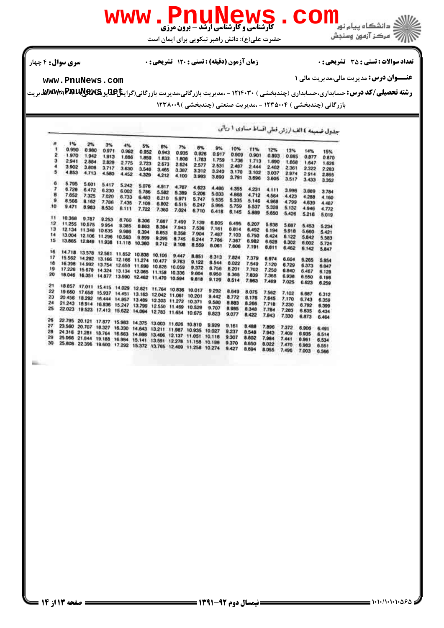

حضرت علي(ع): دانش راهبر نيكويي براي ايمان است

تعداد سوالات : تستي تشريحي زمان آزمون (دقيقه) : تستي تشريحي سري سوال %& \$ \*: #)\*: \* '(: : :

**عنـــوان درس:** مديريت مالي،مديريت مالي 1

**[www.PnuNews.com](http://pnunews.com)**

ر**شته تحصیلی/کد درس:** حسابداری،حسابداری (چندبخشی ) ۱۲۱۴۰۳۰ - ،مدیریت بازرگانی،مدیریت بازرگانی(گرای**نتاِعللیو یکلایالیالایالایالای**لیوییت بازرگانی (چندبخشی ) ۱۲۳۵۰۰۴ - ،مدیریت صنعتی (چندبخشی ) ۱۲۳۸۰۰۹

جدول ضعيمه ٤ الف ارزش فعلى اقساط مساوى ١ ريالى

| n  | 1%     | 2%                          | 3%     | 4%                                                             | 5%            |             |                      |        |        |       |       |       |       |       |                |
|----|--------|-----------------------------|--------|----------------------------------------------------------------|---------------|-------------|----------------------|--------|--------|-------|-------|-------|-------|-------|----------------|
| 1  | 0.990  | 0.980                       | 0.971  | 0.962                                                          | 0.952         | 6%<br>0.943 | 7%                   | 8%     | 9%     | 10%   | 11%   | 12%   | 13%   | 14%   | 15%            |
| 2  | 1.970  | 1.942                       | 1.913  | 1.686                                                          | 1.859         |             | 0.935                | 0.926  | 0.917  | 0.909 | 0.901 | 0.893 | 0.885 | 0.877 | 0.870          |
| э  | 2.941  | 2.884                       | 2.829  | 2.775                                                          | 2.723         | 1.833       | 1.808                | 1.783  | 1.759  | 1.736 | 1.713 | 1.690 | 1.668 | 1.647 | 1.626          |
| 4  | 3.902  | 3.808                       | 3.717  | 3.630                                                          | 3,546         | 2.673       | 2.624                | 2.577  | 2.531  | 2.487 | 2.444 | 2.402 | 2.361 | 2.322 | 2.283          |
| 5  | 4.853  | 4.713                       | 4.580  | 4.452                                                          | 4.329         | 3.465       | 3.387                | 3.312  | 3.240  | 3.170 | 3.102 | 3.037 | 2974  | 2.914 | 2.855          |
|    |        |                             |        |                                                                |               | 4.212       | 4.100                | 3.993  | 3,890  | 3.791 | 3.696 | 3.605 | 3.517 | 3.433 | 3.352          |
| 6  | 5.795  | 5,601                       | 5.417  | 5.242                                                          | 5.076         |             |                      |        |        |       |       |       |       |       |                |
| ,  | 6.728  | 6.472                       | 6.230  | 6.002                                                          | 5.786         | 4.917       | 4.767                | 4.623  | 4.486  | 4.355 | 4,231 | 4.111 | 3.998 | 3.889 | 3.784          |
| ä  | 7.652  | 7.325                       | 7.020  | 6.733                                                          | 6.463         | 5.582       | 5.389                | 5.206  | 5.033  | 4.868 | 4.712 | 4.564 | 4.423 | 4.288 | 4.160          |
| 9  | 8.566  | 8.162                       | 7.786  | 7.435                                                          |               | 6.210       | 5.971                | 5.747  | 5.535  | 5.335 | 5.146 | 4.968 | 4.799 | 4.639 | 4.487          |
| 10 | 9.471  | 8.983                       | 8.530  | 8.111                                                          | 7.108         | 6.802       | 6.515                | 6.247  | 5.995  | 5.759 | 5.537 | 5.328 | 5.132 | 4.946 |                |
|    |        |                             |        |                                                                | 7.722         | 7,360       | 7.024                | 6.710  | 6.418  | 6.145 | 5.889 | 5.650 | 5.426 | 5.218 | 4.772          |
| п  | 10:368 | 9.787                       | 9.253  | 8.760                                                          |               |             |                      |        |        |       |       |       |       |       | 5.019          |
| 12 | 11.255 | 10.575                      | 9954   | 9.385                                                          | 8.306         | 7,887       | 7.499                | 7.139  | 6.805  | 6.495 | 6.207 | 5.938 | 5,687 | 5.453 |                |
| 13 | 12.134 | 11,348                      | 10.635 | 9.986                                                          | 8.863         | 8.384       | 7,943                | 7.536  | 7.161  | 6.814 | 6.492 | 6.194 | 5.918 | 5.660 | 5.234          |
| 14 |        | 13.004 12.106 11.296        |        | 10.563                                                         | 9.394         | 8.853       | 8.358                | 7.904  | 7.487  | 7.103 | 6.750 | 6.424 | 6.122 | 5.842 | 5.421          |
| 15 |        | 13.865 12.849 11.938        |        | 11.118                                                         | 9.899         | 9.295       | 8.745                | 8.244  | 7.786  | 7.367 | 6.982 | 6.628 | 6.302 | 6.002 | 5.583          |
|    |        |                             |        |                                                                | 10.380        | 9,712       | 9.108                | 8.559  | 8.061  | 7.606 | 7.191 | 6.611 | 6.462 | 6.142 | 5.724          |
| 16 |        |                             |        | 14.718 13.578 12.561 11.652                                    |               |             |                      |        |        |       |       |       |       |       | 5.847          |
| 17 |        |                             |        | 15.562 14.292 13.166 12.166                                    | 10.838        | 10.106      | 9.447                | 8.851  | 8.313  | 7.824 | 7.379 | 6.974 | 6,604 | 6,265 |                |
| 18 |        | 16.398 14.992 13.754 12.659 |        |                                                                | 11.274        | 10.477      | 9.763                | 9.122  | 8.544  | 8.022 | 7.549 | 7.120 | 6.729 | 6.373 | 5.954          |
| 19 |        |                             |        | 17.226 15.678 14.324 13.134                                    | 11,690        | 10.828      | 10.059               | 9.372  | 8.756  | 8.201 | 7.702 | 7.250 | 6.840 | 6.467 | 6.047          |
| 20 |        |                             |        | 18.046 16.351 14.877 13.590 12.462                             | 12.085        | 11,158      | 10.336               | 9.604  | 8.950  | 8.365 | 7.839 | 7.366 | 6.938 | 6.550 | 6.128          |
|    |        |                             |        |                                                                |               | 11.470      | 10.594               | 9,818  | 9.129  | 8.514 | 7,963 | 7.489 | 7.025 | 6.623 | 6.198<br>6.259 |
| 21 |        |                             |        | 18857 17.011 15.415 14.029 12.821 11.764                       |               |             |                      |        |        |       |       |       |       |       |                |
| 22 |        |                             |        | 19 660 17.658 15.937 14.451 13.163 12.042                      |               |             | 10.836               | 10.017 | 9.292  | 8.649 | 8.075 | 7.562 | 7.102 | 6.687 |                |
| 23 |        | 20.456 18.292 16.444        |        | 14.857                                                         |               |             | 11.061 10.201        |        | 9.442  | 8.772 | 8.176 | 7.645 | 7.170 | 6.743 | 6.312          |
| 24 |        | 21.243 18.914 16.936 15.247 |        |                                                                | 13.489 12.303 |             | 11.272 10.371        |        | 9.580  | 8.883 | 8.266 | 7.718 | 7.230 | 6.792 | 6.359          |
| 25 |        |                             |        | 22.023 19.523 17.413 15.622 14.094 12.783 11.654 10.675        | 13.799        |             | 12.550 11.469 10.529 |        | 9.707  | 8.985 | 8.348 | 7.784 | 7.283 | 6.835 | 6.399          |
|    |        |                             |        |                                                                |               |             |                      |        | 9.823  | 9.077 | 8.422 | 7,843 | 7.330 | 6.873 | 6.434          |
| 26 |        |                             |        | 22.795 20.121 17.877 15.983 14.375 13.003 11.826               |               |             |                      |        |        |       |       |       |       |       | 6.464          |
| 27 |        |                             |        | 23.560 20.707 18.327 16.330 14.643                             |               |             |                      | 10.810 | 9.929  | 9.161 | 8.488 | 7.896 | 7,372 |       |                |
| 28 | 24.315 | 21.281                      | 18.764 |                                                                |               | 13.211      | 11.987               | 10.935 | 10.027 | 9.237 | 8.548 | 7.943 | 7,409 | 6.906 | 6.491          |
| 29 |        | 25.068 21.844 19.188        |        | 16.663 14.898                                                  |               | 13.406      | 12.137 11.051        |        | 10.118 | 9.307 | 8.602 | 7,984 | 7.441 | 6.935 | 6.514          |
| 30 |        |                             |        | 16.984                                                         | 15,141        | 13.591      | 12.278 11.158        |        | 10.198 | 9.370 | 8.650 | 8.022 | 7,470 | 6.961 | 6.534          |
|    |        |                             |        | 25.808 22.396 19.600 17.292 15.372 13.765 12.409 11.258 10.274 |               |             |                      |        |        | 9.427 | 8.694 | 8.055 | 7.496 | 6.983 | 6.551          |
|    |        |                             |        |                                                                |               |             |                      |        |        |       |       |       |       | 7.003 | 6.566          |